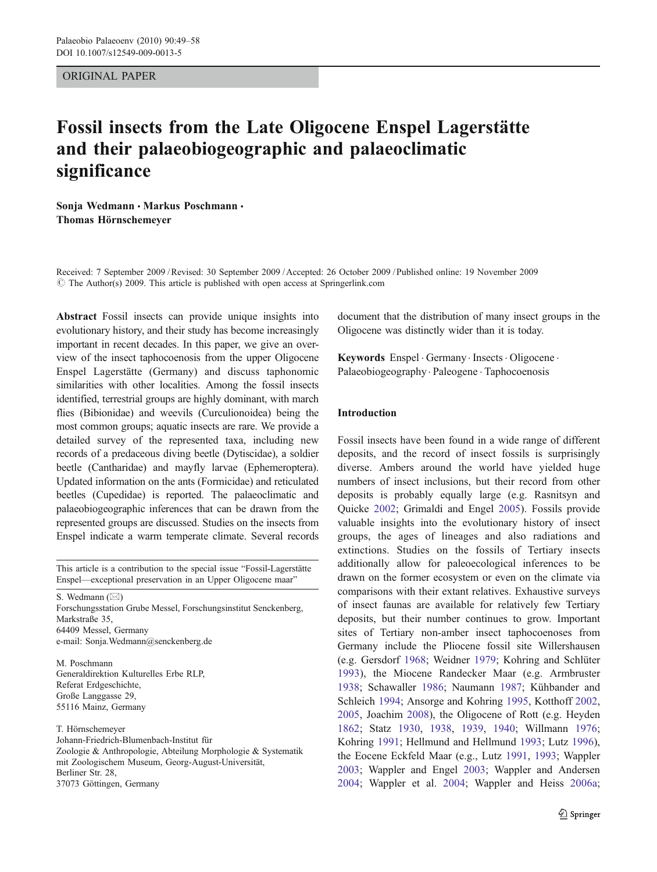ORIGINAL PAPER

# Fossil insects from the Late Oligocene Enspel Lagerstätte and their palaeobiogeographic and palaeoclimatic significance

Sonja Wedmann · Markus Poschmann · Thomas Hörnschemeyer

Received: 7 September 2009 /Revised: 30 September 2009 /Accepted: 26 October 2009 / Published online: 19 November 2009  $\circ$  The Author(s) 2009. This article is published with open access at Springerlink.com

Abstract Fossil insects can provide unique insights into evolutionary history, and their study has become increasingly important in recent decades. In this paper, we give an overview of the insect taphocoenosis from the upper Oligocene Enspel Lagerstätte (Germany) and discuss taphonomic similarities with other localities. Among the fossil insects identified, terrestrial groups are highly dominant, with march flies (Bibionidae) and weevils (Curculionoidea) being the most common groups; aquatic insects are rare. We provide a detailed survey of the represented taxa, including new records of a predaceous diving beetle (Dytiscidae), a soldier beetle (Cantharidae) and mayfly larvae (Ephemeroptera). Updated information on the ants (Formicidae) and reticulated beetles (Cupedidae) is reported. The palaeoclimatic and palaeobiogeographic inferences that can be drawn from the represented groups are discussed. Studies on the insects from Enspel indicate a warm temperate climate. Several records

This article is a contribution to the special issue "Fossil-Lagerstätte Enspel—exceptional preservation in an Upper Oligocene maar"

S. Wedmann ( $\boxtimes$ ) Forschungsstation Grube Messel, Forschungsinstitut Senckenberg, Markstraße 35, 64409 Messel, Germany e-mail: Sonja.Wedmann@senckenberg.de

M. Poschmann Generaldirektion Kulturelles Erbe RLP, Referat Erdgeschichte, Große Langgasse 29, 55116 Mainz, Germany

T. Hörnschemeyer

Johann-Friedrich-Blumenbach-Institut für Zoologie & Anthropologie, Abteilung Morphologie & Systematik mit Zoologischem Museum, Georg-August-Universität, Berliner Str. 28, 37073 Göttingen, Germany

document that the distribution of many insect groups in the Oligocene was distinctly wider than it is today.

Keywords Enspel . Germany . Insects . Oligocene . Palaeobiogeography . Paleogene . Taphocoenosis

## Introduction

Fossil insects have been found in a wide range of different deposits, and the record of insect fossils is surprisingly diverse. Ambers around the world have yielded huge numbers of insect inclusions, but their record from other deposits is probably equally large (e.g. Rasnitsyn and Quicke [2002](#page-9-0); Grimaldi and Engel [2005](#page-8-0)). Fossils provide valuable insights into the evolutionary history of insect groups, the ages of lineages and also radiations and extinctions. Studies on the fossils of Tertiary insects additionally allow for paleoecological inferences to be drawn on the former ecosystem or even on the climate via comparisons with their extant relatives. Exhaustive surveys of insect faunas are available for relatively few Tertiary deposits, but their number continues to grow. Important sites of Tertiary non-amber insect taphocoenoses from Germany include the Pliocene fossil site Willershausen (e.g. Gersdorf [1968](#page-8-0); Weidner [1979;](#page-9-0) Kohring and Schlüter [1993](#page-8-0)), the Miocene Randecker Maar (e.g. Armbruster [1938](#page-8-0); Schawaller [1986](#page-9-0); Naumann [1987](#page-8-0); Kühbander and Schleich [1994](#page-8-0); Ansorge and Kohring [1995](#page-8-0), Kotthoff [2002,](#page-8-0) [2005](#page-8-0), Joachim [2008](#page-8-0)), the Oligocene of Rott (e.g. Heyden [1862](#page-8-0); Statz [1930,](#page-9-0) [1938,](#page-9-0) [1939](#page-9-0), [1940](#page-9-0); Willmann [1976;](#page-9-0) Kohring [1991](#page-8-0); Hellmund and Hellmund [1993](#page-8-0); Lutz [1996\)](#page-8-0), the Eocene Eckfeld Maar (e.g., Lutz [1991,](#page-8-0) [1993;](#page-8-0) Wappler [2003](#page-9-0); Wappler and Engel [2003](#page-9-0); Wappler and Andersen [2004](#page-9-0); Wappler et al. [2004;](#page-9-0) Wappler and Heiss [2006a;](#page-9-0)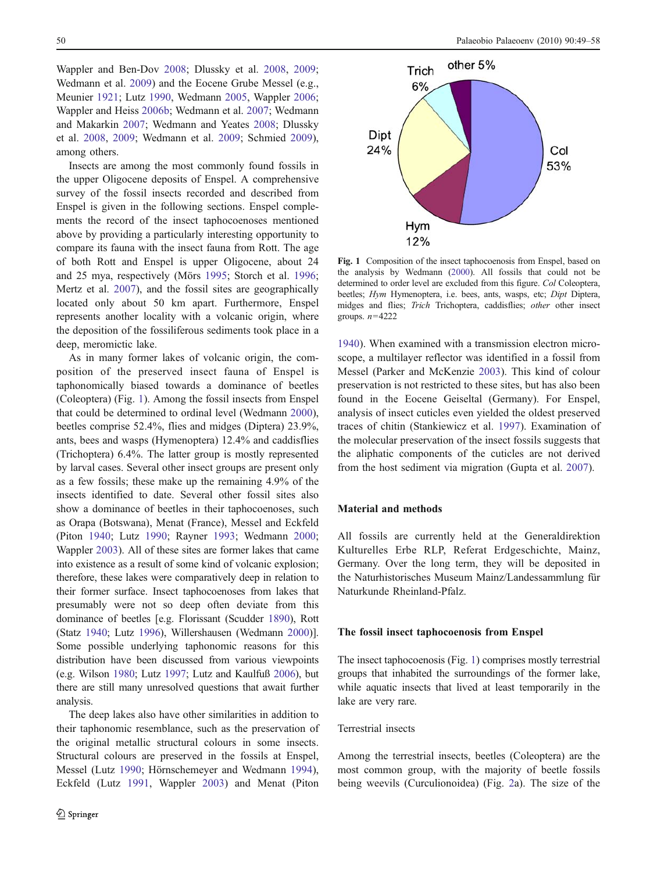Wappler and Ben-Dov [2008;](#page-9-0) Dlussky et al. [2008](#page-8-0), [2009](#page-8-0); Wedmann et al. [2009\)](#page-9-0) and the Eocene Grube Messel (e.g., Meunier [1921;](#page-8-0) Lutz [1990](#page-8-0), Wedmann [2005](#page-9-0), Wappler [2006](#page-9-0); Wappler and Heiss [2006b;](#page-9-0) Wedmann et al. [2007;](#page-9-0) Wedmann and Makarkin [2007;](#page-9-0) Wedmann and Yeates [2008](#page-9-0); Dlussky et al. [2008,](#page-8-0) [2009](#page-8-0); Wedmann et al. [2009;](#page-9-0) Schmied [2009](#page-9-0)), among others.

Insects are among the most commonly found fossils in the upper Oligocene deposits of Enspel. A comprehensive survey of the fossil insects recorded and described from Enspel is given in the following sections. Enspel complements the record of the insect taphocoenoses mentioned above by providing a particularly interesting opportunity to compare its fauna with the insect fauna from Rott. The age of both Rott and Enspel is upper Oligocene, about 24 and 25 mya, respectively (Mörs [1995;](#page-8-0) Storch et al. [1996](#page-9-0); Mertz et al. [2007](#page-8-0)), and the fossil sites are geographically located only about 50 km apart. Furthermore, Enspel represents another locality with a volcanic origin, where the deposition of the fossiliferous sediments took place in a deep, meromictic lake.

As in many former lakes of volcanic origin, the composition of the preserved insect fauna of Enspel is taphonomically biased towards a dominance of beetles (Coleoptera) (Fig. 1). Among the fossil insects from Enspel that could be determined to ordinal level (Wedmann [2000](#page-9-0)), beetles comprise 52.4%, flies and midges (Diptera) 23.9%, ants, bees and wasps (Hymenoptera) 12.4% and caddisflies (Trichoptera) 6.4%. The latter group is mostly represented by larval cases. Several other insect groups are present only as a few fossils; these make up the remaining 4.9% of the insects identified to date. Several other fossil sites also show a dominance of beetles in their taphocoenoses, such as Orapa (Botswana), Menat (France), Messel and Eckfeld (Piton [1940](#page-9-0); Lutz [1990;](#page-8-0) Rayner [1993](#page-9-0); Wedmann [2000](#page-9-0); Wappler [2003](#page-9-0)). All of these sites are former lakes that came into existence as a result of some kind of volcanic explosion; therefore, these lakes were comparatively deep in relation to their former surface. Insect taphocoenoses from lakes that presumably were not so deep often deviate from this dominance of beetles [e.g. Florissant (Scudder [1890\)](#page-9-0), Rott (Statz [1940](#page-9-0); Lutz [1996](#page-8-0)), Willershausen (Wedmann [2000](#page-9-0))]. Some possible underlying taphonomic reasons for this distribution have been discussed from various viewpoints (e.g. Wilson [1980](#page-9-0); Lutz [1997;](#page-8-0) Lutz and Kaulfuß [2006\)](#page-8-0), but there are still many unresolved questions that await further analysis.

The deep lakes also have other similarities in addition to their taphonomic resemblance, such as the preservation of the original metallic structural colours in some insects. Structural colours are preserved in the fossils at Enspel, Messel (Lutz [1990](#page-8-0); Hörnschemeyer and Wedmann [1994](#page-8-0)), Eckfeld (Lutz [1991](#page-8-0), Wappler [2003\)](#page-9-0) and Menat (Piton



Fig. 1 Composition of the insect taphocoenosis from Enspel, based on the analysis by Wedmann [\(2000](#page-9-0)). All fossils that could not be determined to order level are excluded from this figure. Col Coleoptera, beetles; Hym Hymenoptera, i.e. bees, ants, wasps, etc; Dipt Diptera, midges and flies; Trich Trichoptera, caddisflies; other other insect groups.  $n=4222$ 

[1940](#page-9-0)). When examined with a transmission electron microscope, a multilayer reflector was identified in a fossil from Messel (Parker and McKenzie [2003](#page-9-0)). This kind of colour preservation is not restricted to these sites, but has also been found in the Eocene Geiseltal (Germany). For Enspel, analysis of insect cuticles even yielded the oldest preserved traces of chitin (Stankiewicz et al. [1997\)](#page-9-0). Examination of the molecular preservation of the insect fossils suggests that the aliphatic components of the cuticles are not derived from the host sediment via migration (Gupta et al. [2007\)](#page-8-0).

### Material and methods

All fossils are currently held at the Generaldirektion Kulturelles Erbe RLP, Referat Erdgeschichte, Mainz, Germany. Over the long term, they will be deposited in the Naturhistorisches Museum Mainz/Landessammlung für Naturkunde Rheinland-Pfalz.

#### The fossil insect taphocoenosis from Enspel

The insect taphocoenosis (Fig. 1) comprises mostly terrestrial groups that inhabited the surroundings of the former lake, while aquatic insects that lived at least temporarily in the lake are very rare.

#### Terrestrial insects

Among the terrestrial insects, beetles (Coleoptera) are the most common group, with the majority of beetle fossils being weevils (Curculionoidea) (Fig. [2](#page-2-0)a). The size of the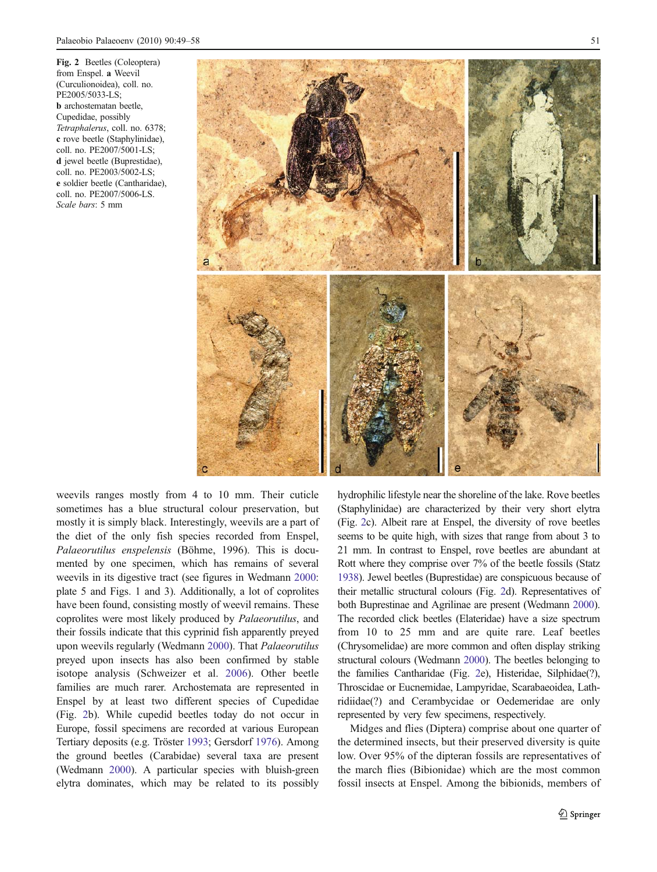<span id="page-2-0"></span>Fig. 2 Beetles (Coleoptera) from Enspel. a Weevil (Curculionoidea), coll. no. PE2005/5033-LS; b archostematan beetle, Cupedidae, possibly Tetraphalerus, coll. no. 6378; c rove beetle (Staphylinidae), coll. no. PE2007/5001-LS; d jewel beetle (Buprestidae), coll. no. PE2003/5002-LS; e soldier beetle (Cantharidae), coll. no. PE2007/5006-LS. Scale bars: 5 mm



weevils ranges mostly from 4 to 10 mm. Their cuticle sometimes has a blue structural colour preservation, but mostly it is simply black. Interestingly, weevils are a part of the diet of the only fish species recorded from Enspel, Palaeorutilus enspelensis (Böhme, 1996). This is documented by one specimen, which has remains of several weevils in its digestive tract (see figures in Wedmann [2000](#page-9-0): plate 5 and Figs. 1 and 3). Additionally, a lot of coprolites have been found, consisting mostly of weevil remains. These coprolites were most likely produced by Palaeorutilus, and their fossils indicate that this cyprinid fish apparently preyed upon weevils regularly (Wedmann [2000\)](#page-9-0). That Palaeorutilus preyed upon insects has also been confirmed by stable isotope analysis (Schweizer et al. [2006\)](#page-9-0). Other beetle families are much rarer. Archostemata are represented in Enspel by at least two different species of Cupedidae (Fig. 2b). While cupedid beetles today do not occur in Europe, fossil specimens are recorded at various European Tertiary deposits (e.g. Tröster [1993;](#page-9-0) Gersdorf [1976](#page-8-0)). Among the ground beetles (Carabidae) several taxa are present (Wedmann [2000\)](#page-9-0). A particular species with bluish-green elytra dominates, which may be related to its possibly

hydrophilic lifestyle near the shoreline of the lake. Rove beetles (Staphylinidae) are characterized by their very short elytra (Fig. 2c). Albeit rare at Enspel, the diversity of rove beetles seems to be quite high, with sizes that range from about 3 to 21 mm. In contrast to Enspel, rove beetles are abundant at Rott where they comprise over 7% of the beetle fossils (Statz [1938](#page-9-0)). Jewel beetles (Buprestidae) are conspicuous because of their metallic structural colours (Fig. 2d). Representatives of both Buprestinae and Agrilinae are present (Wedmann [2000\)](#page-9-0). The recorded click beetles (Elateridae) have a size spectrum from 10 to 25 mm and are quite rare. Leaf beetles (Chrysomelidae) are more common and often display striking structural colours (Wedmann [2000\)](#page-9-0). The beetles belonging to the families Cantharidae (Fig. 2e), Histeridae, Silphidae(?), Throscidae or Eucnemidae, Lampyridae, Scarabaeoidea, Lathridiidae(?) and Cerambycidae or Oedemeridae are only represented by very few specimens, respectively.

Midges and flies (Diptera) comprise about one quarter of the determined insects, but their preserved diversity is quite low. Over 95% of the dipteran fossils are representatives of the march flies (Bibionidae) which are the most common fossil insects at Enspel. Among the bibionids, members of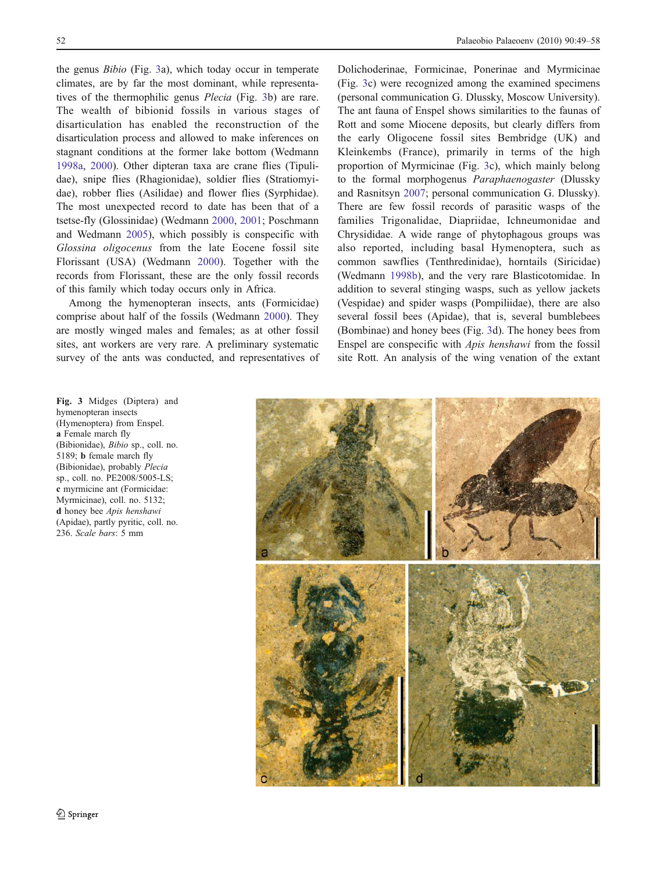the genus Bibio (Fig. 3a), which today occur in temperate climates, are by far the most dominant, while representatives of the thermophilic genus Plecia (Fig. 3b) are rare. The wealth of bibionid fossils in various stages of disarticulation has enabled the reconstruction of the disarticulation process and allowed to make inferences on stagnant conditions at the former lake bottom (Wedmann [1998a](#page-9-0), [2000](#page-9-0)). Other dipteran taxa are crane flies (Tipulidae), snipe flies (Rhagionidae), soldier flies (Stratiomyidae), robber flies (Asilidae) and flower flies (Syrphidae). The most unexpected record to date has been that of a tsetse-fly (Glossinidae) (Wedmann [2000](#page-9-0), [2001;](#page-9-0) Poschmann and Wedmann [2005](#page-9-0)), which possibly is conspecific with Glossina oligocenus from the late Eocene fossil site Florissant (USA) (Wedmann [2000](#page-9-0)). Together with the records from Florissant, these are the only fossil records of this family which today occurs only in Africa.

Among the hymenopteran insects, ants (Formicidae) comprise about half of the fossils (Wedmann [2000](#page-9-0)). They are mostly winged males and females; as at other fossil sites, ant workers are very rare. A preliminary systematic survey of the ants was conducted, and representatives of Dolichoderinae, Formicinae, Ponerinae and Myrmicinae (Fig. 3c) were recognized among the examined specimens (personal communication G. Dlussky, Moscow University). The ant fauna of Enspel shows similarities to the faunas of Rott and some Miocene deposits, but clearly differs from the early Oligocene fossil sites Bembridge (UK) and Kleinkembs (France), primarily in terms of the high proportion of Myrmicinae (Fig. 3c), which mainly belong to the formal morphogenus Paraphaenogaster (Dlussky and Rasnitsyn [2007;](#page-8-0) personal communication G. Dlussky). There are few fossil records of parasitic wasps of the families Trigonalidae, Diapriidae, Ichneumonidae and Chrysididae. A wide range of phytophagous groups was also reported, including basal Hymenoptera, such as common sawflies (Tenthredinidae), horntails (Siricidae) (Wedmann [1998b\)](#page-9-0), and the very rare Blasticotomidae. In addition to several stinging wasps, such as yellow jackets (Vespidae) and spider wasps (Pompiliidae), there are also several fossil bees (Apidae), that is, several bumblebees (Bombinae) and honey bees (Fig. 3d). The honey bees from Enspel are conspecific with Apis henshawi from the fossil site Rott. An analysis of the wing venation of the extant

Fig. 3 Midges (Diptera) and hymenopteran insects (Hymenoptera) from Enspel. a Female march fly (Bibionidae), Bibio sp., coll. no. 5189; b female march fly (Bibionidae), probably Plecia sp., coll. no. PE2008/5005-LS; c myrmicine ant (Formicidae: Myrmicinae), coll. no. 5132; d honey bee Apis henshawi (Apidae), partly pyritic, coll. no. 236. Scale bars: 5 mm

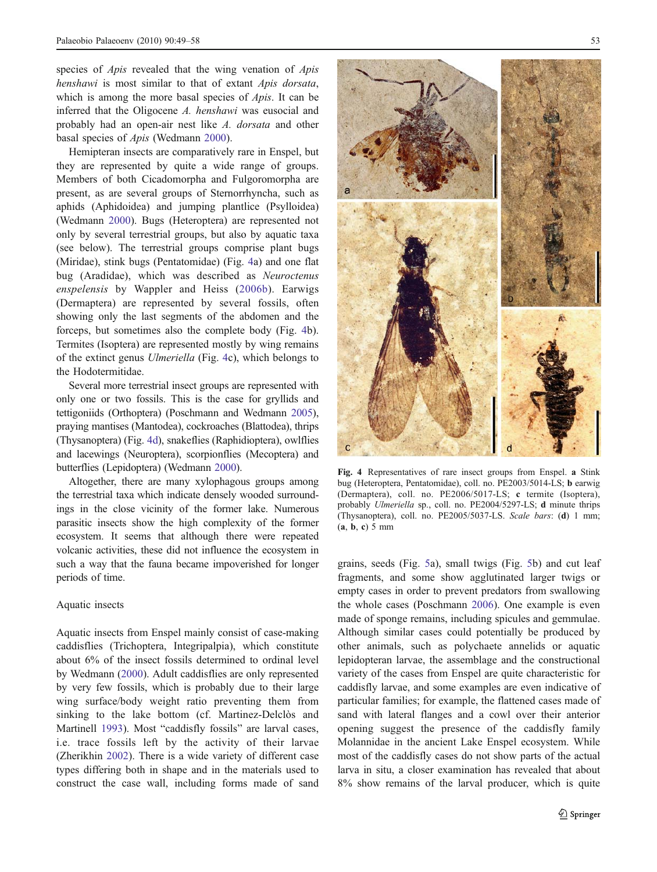species of *Apis* revealed that the wing venation of *Apis* henshawi is most similar to that of extant Apis dorsata, which is among the more basal species of *Apis*. It can be inferred that the Oligocene A. henshawi was eusocial and probably had an open-air nest like A. dorsata and other basal species of Apis (Wedmann [2000](#page-9-0)).

Hemipteran insects are comparatively rare in Enspel, but they are represented by quite a wide range of groups. Members of both Cicadomorpha and Fulgoromorpha are present, as are several groups of Sternorrhyncha, such as aphids (Aphidoidea) and jumping plantlice (Psylloidea) (Wedmann [2000\)](#page-9-0). Bugs (Heteroptera) are represented not only by several terrestrial groups, but also by aquatic taxa (see below). The terrestrial groups comprise plant bugs (Miridae), stink bugs (Pentatomidae) (Fig. 4a) and one flat bug (Aradidae), which was described as Neuroctenus enspelensis by Wappler and Heiss ([2006b\)](#page-9-0). Earwigs (Dermaptera) are represented by several fossils, often showing only the last segments of the abdomen and the forceps, but sometimes also the complete body (Fig. 4b). Termites (Isoptera) are represented mostly by wing remains of the extinct genus Ulmeriella (Fig. 4c), which belongs to the Hodotermitidae.

Several more terrestrial insect groups are represented with only one or two fossils. This is the case for gryllids and tettigoniids (Orthoptera) (Poschmann and Wedmann [2005\)](#page-9-0), praying mantises (Mantodea), cockroaches (Blattodea), thrips (Thysanoptera) (Fig. 4d), snakeflies (Raphidioptera), owlflies and lacewings (Neuroptera), scorpionflies (Mecoptera) and butterflies (Lepidoptera) (Wedmann [2000](#page-9-0)).

Altogether, there are many xylophagous groups among the terrestrial taxa which indicate densely wooded surroundings in the close vicinity of the former lake. Numerous parasitic insects show the high complexity of the former ecosystem. It seems that although there were repeated volcanic activities, these did not influence the ecosystem in such a way that the fauna became impoverished for longer periods of time.

#### Aquatic insects

Aquatic insects from Enspel mainly consist of case-making caddisflies (Trichoptera, Integripalpia), which constitute about 6% of the insect fossils determined to ordinal level by Wedmann ([2000\)](#page-9-0). Adult caddisflies are only represented by very few fossils, which is probably due to their large wing surface/body weight ratio preventing them from sinking to the lake bottom (cf. Martinez-Delclòs and Martinell [1993\)](#page-8-0). Most "caddisfly fossils" are larval cases, i.e. trace fossils left by the activity of their larvae (Zherikhin [2002\)](#page-9-0). There is a wide variety of different case types differing both in shape and in the materials used to construct the case wall, including forms made of sand



Fig. 4 Representatives of rare insect groups from Enspel. a Stink bug (Heteroptera, Pentatomidae), coll. no. PE2003/5014-LS; b earwig (Dermaptera), coll. no. PE2006/5017-LS; c termite (Isoptera), probably Ulmeriella sp., coll. no. PE2004/5297-LS; d minute thrips (Thysanoptera), coll. no. PE2005/5037-LS. Scale bars: (d) 1 mm;  $(a, b, c) 5 mm$ 

grains, seeds (Fig. [5](#page-5-0)a), small twigs (Fig. [5b](#page-5-0)) and cut leaf fragments, and some show agglutinated larger twigs or empty cases in order to prevent predators from swallowing the whole cases (Poschmann [2006\)](#page-9-0). One example is even made of sponge remains, including spicules and gemmulae. Although similar cases could potentially be produced by other animals, such as polychaete annelids or aquatic lepidopteran larvae, the assemblage and the constructional variety of the cases from Enspel are quite characteristic for caddisfly larvae, and some examples are even indicative of particular families; for example, the flattened cases made of sand with lateral flanges and a cowl over their anterior opening suggest the presence of the caddisfly family Molannidae in the ancient Lake Enspel ecosystem. While most of the caddisfly cases do not show parts of the actual larva in situ, a closer examination has revealed that about 8% show remains of the larval producer, which is quite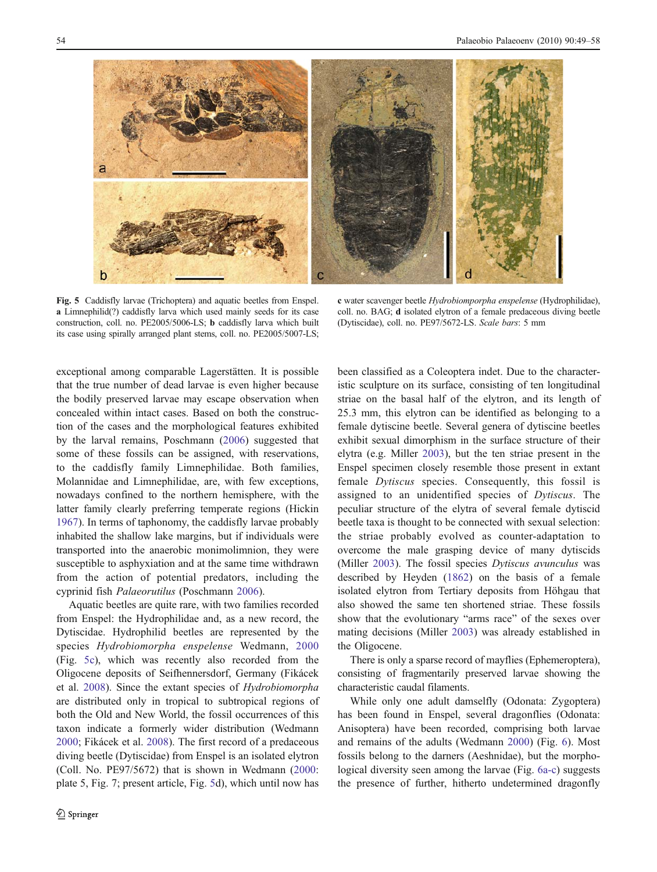<span id="page-5-0"></span>

Fig. 5 Caddisfly larvae (Trichoptera) and aquatic beetles from Enspel. a Limnephilid(?) caddisfly larva which used mainly seeds for its case construction, coll. no. PE2005/5006-LS; b caddisfly larva which built its case using spirally arranged plant stems, coll. no. PE2005/5007-LS;

c water scavenger beetle Hydrobiomporpha enspelense (Hydrophilidae), coll. no. BAG; d isolated elytron of a female predaceous diving beetle (Dytiscidae), coll. no. PE97/5672-LS. Scale bars: 5 mm

exceptional among comparable Lagerstätten. It is possible that the true number of dead larvae is even higher because the bodily preserved larvae may escape observation when concealed within intact cases. Based on both the construction of the cases and the morphological features exhibited by the larval remains, Poschmann [\(2006](#page-9-0)) suggested that some of these fossils can be assigned, with reservations, to the caddisfly family Limnephilidae. Both families, Molannidae and Limnephilidae, are, with few exceptions, nowadays confined to the northern hemisphere, with the latter family clearly preferring temperate regions (Hickin [1967\)](#page-8-0). In terms of taphonomy, the caddisfly larvae probably inhabited the shallow lake margins, but if individuals were transported into the anaerobic monimolimnion, they were susceptible to asphyxiation and at the same time withdrawn from the action of potential predators, including the cyprinid fish Palaeorutilus (Poschmann [2006\)](#page-9-0).

Aquatic beetles are quite rare, with two families recorded from Enspel: the Hydrophilidae and, as a new record, the Dytiscidae. Hydrophilid beetles are represented by the species Hydrobiomorpha enspelense Wedmann, [2000](#page-9-0) (Fig. 5c), which was recently also recorded from the Oligocene deposits of Seifhennersdorf, Germany (Fikácek et al. [2008\)](#page-8-0). Since the extant species of Hydrobiomorpha are distributed only in tropical to subtropical regions of both the Old and New World, the fossil occurrences of this taxon indicate a formerly wider distribution (Wedmann [2000;](#page-9-0) Fikácek et al. [2008\)](#page-8-0). The first record of a predaceous diving beetle (Dytiscidae) from Enspel is an isolated elytron (Coll. No. PE97/5672) that is shown in Wedmann [\(2000](#page-9-0): plate 5, Fig. 7; present article, Fig. 5d), which until now has been classified as a Coleoptera indet. Due to the characteristic sculpture on its surface, consisting of ten longitudinal striae on the basal half of the elytron, and its length of 25.3 mm, this elytron can be identified as belonging to a female dytiscine beetle. Several genera of dytiscine beetles exhibit sexual dimorphism in the surface structure of their elytra (e.g. Miller [2003](#page-8-0)), but the ten striae present in the Enspel specimen closely resemble those present in extant female Dytiscus species. Consequently, this fossil is assigned to an unidentified species of Dytiscus. The peculiar structure of the elytra of several female dytiscid beetle taxa is thought to be connected with sexual selection: the striae probably evolved as counter-adaptation to overcome the male grasping device of many dytiscids (Miller [2003](#page-8-0)). The fossil species *Dytiscus avunculus* was described by Heyden [\(1862](#page-8-0)) on the basis of a female isolated elytron from Tertiary deposits from Höhgau that also showed the same ten shortened striae. These fossils show that the evolutionary "arms race" of the sexes over mating decisions (Miller [2003\)](#page-8-0) was already established in the Oligocene.

There is only a sparse record of mayflies (Ephemeroptera), consisting of fragmentarily preserved larvae showing the characteristic caudal filaments.

While only one adult damselfly (Odonata: Zygoptera) has been found in Enspel, several dragonflies (Odonata: Anisoptera) have been recorded, comprising both larvae and remains of the adults (Wedmann [2000](#page-9-0)) (Fig. [6\)](#page-6-0). Most fossils belong to the darners (Aeshnidae), but the morphological diversity seen among the larvae (Fig. [6a-c\)](#page-6-0) suggests the presence of further, hitherto undetermined dragonfly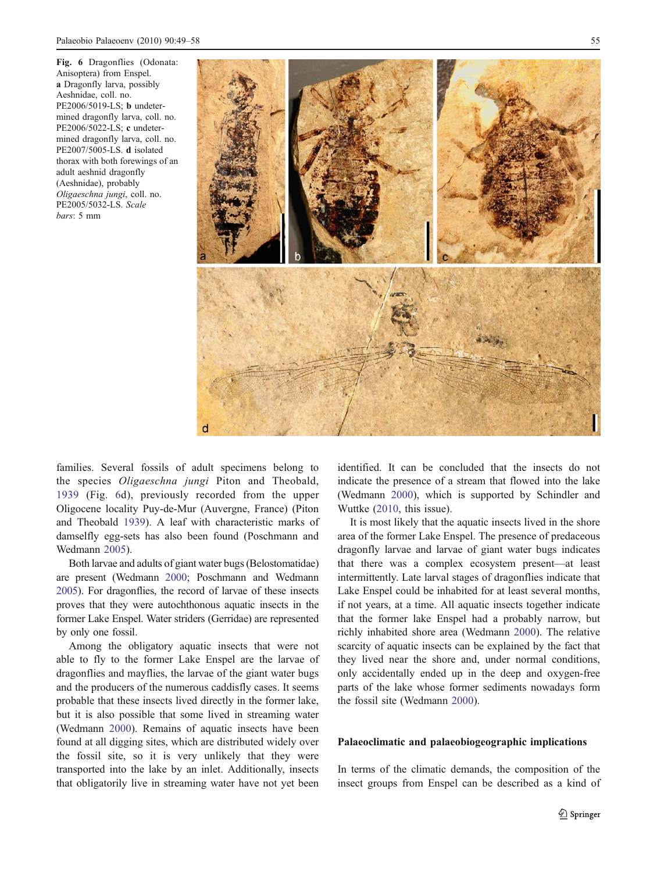<span id="page-6-0"></span>Fig. 6 Dragonflies (Odonata: Anisoptera) from Enspel. a Dragonfly larva, possibly Aeshnidae, coll. no. PE2006/5019-LS; b undetermined dragonfly larva, coll. no. PE2006/5022-LS; c undetermined dragonfly larva, coll. no. PE2007/5005-LS. d isolated thorax with both forewings of an adult aeshnid dragonfly (Aeshnidae), probably Oligaeschna jungi, coll. no. PE2005/5032-LS. Scale bars: 5 mm



families. Several fossils of adult specimens belong to the species Oligaeschna jungi Piton and Theobald, [1939](#page-9-0) (Fig. 6d), previously recorded from the upper Oligocene locality Puy-de-Mur (Auvergne, France) (Piton and Theobald [1939\)](#page-9-0). A leaf with characteristic marks of damselfly egg-sets has also been found (Poschmann and Wedmann [2005](#page-9-0)).

Both larvae and adults of giant water bugs (Belostomatidae) are present (Wedmann [2000](#page-9-0); Poschmann and Wedmann [2005](#page-9-0)). For dragonflies, the record of larvae of these insects proves that they were autochthonous aquatic insects in the former Lake Enspel. Water striders (Gerridae) are represented by only one fossil.

Among the obligatory aquatic insects that were not able to fly to the former Lake Enspel are the larvae of dragonflies and mayflies, the larvae of the giant water bugs and the producers of the numerous caddisfly cases. It seems probable that these insects lived directly in the former lake, but it is also possible that some lived in streaming water (Wedmann [2000](#page-9-0)). Remains of aquatic insects have been found at all digging sites, which are distributed widely over the fossil site, so it is very unlikely that they were transported into the lake by an inlet. Additionally, insects that obligatorily live in streaming water have not yet been

identified. It can be concluded that the insects do not indicate the presence of a stream that flowed into the lake (Wedmann [2000\)](#page-9-0), which is supported by Schindler and Wuttke [\(2010](#page-9-0), this issue).

It is most likely that the aquatic insects lived in the shore area of the former Lake Enspel. The presence of predaceous dragonfly larvae and larvae of giant water bugs indicates that there was a complex ecosystem present—at least intermittently. Late larval stages of dragonflies indicate that Lake Enspel could be inhabited for at least several months, if not years, at a time. All aquatic insects together indicate that the former lake Enspel had a probably narrow, but richly inhabited shore area (Wedmann [2000](#page-9-0)). The relative scarcity of aquatic insects can be explained by the fact that they lived near the shore and, under normal conditions, only accidentally ended up in the deep and oxygen-free parts of the lake whose former sediments nowadays form the fossil site (Wedmann [2000\)](#page-9-0).

## Palaeoclimatic and palaeobiogeographic implications

In terms of the climatic demands, the composition of the insect groups from Enspel can be described as a kind of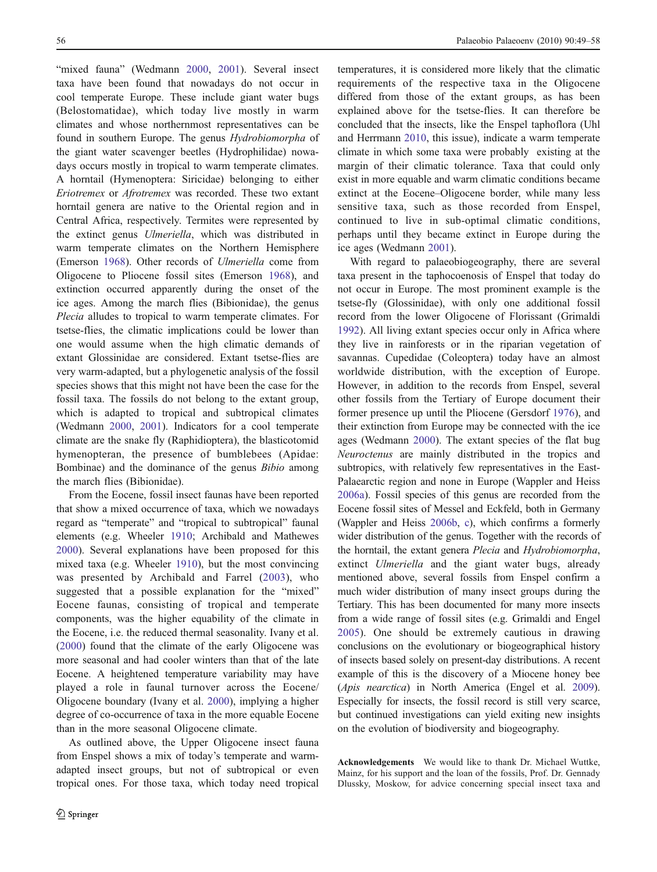"mixed fauna" (Wedmann [2000](#page-9-0), [2001\)](#page-9-0). Several insect taxa have been found that nowadays do not occur in cool temperate Europe. These include giant water bugs (Belostomatidae), which today live mostly in warm climates and whose northernmost representatives can be found in southern Europe. The genus Hydrobiomorpha of the giant water scavenger beetles (Hydrophilidae) nowadays occurs mostly in tropical to warm temperate climates. A horntail (Hymenoptera: Siricidae) belonging to either Eriotremex or Afrotremex was recorded. These two extant horntail genera are native to the Oriental region and in Central Africa, respectively. Termites were represented by the extinct genus Ulmeriella, which was distributed in warm temperate climates on the Northern Hemisphere (Emerson [1968\)](#page-8-0). Other records of Ulmeriella come from Oligocene to Pliocene fossil sites (Emerson [1968\)](#page-8-0), and extinction occurred apparently during the onset of the ice ages. Among the march flies (Bibionidae), the genus Plecia alludes to tropical to warm temperate climates. For tsetse-flies, the climatic implications could be lower than one would assume when the high climatic demands of extant Glossinidae are considered. Extant tsetse-flies are very warm-adapted, but a phylogenetic analysis of the fossil species shows that this might not have been the case for the fossil taxa. The fossils do not belong to the extant group, which is adapted to tropical and subtropical climates (Wedmann [2000](#page-9-0), [2001\)](#page-9-0). Indicators for a cool temperate climate are the snake fly (Raphidioptera), the blasticotomid hymenopteran, the presence of bumblebees (Apidae: Bombinae) and the dominance of the genus *Bibio* among the march flies (Bibionidae).

From the Eocene, fossil insect faunas have been reported that show a mixed occurrence of taxa, which we nowadays regard as "temperate" and "tropical to subtropical" faunal elements (e.g. Wheeler [1910](#page-9-0); Archibald and Mathewes [2000\)](#page-8-0). Several explanations have been proposed for this mixed taxa (e.g. Wheeler [1910](#page-9-0)), but the most convincing was presented by Archibald and Farrel ([2003](#page-8-0)), who suggested that a possible explanation for the "mixed" Eocene faunas, consisting of tropical and temperate components, was the higher equability of the climate in the Eocene, i.e. the reduced thermal seasonality. Ivany et al. [\(2000](#page-8-0)) found that the climate of the early Oligocene was more seasonal and had cooler winters than that of the late Eocene. A heightened temperature variability may have played a role in faunal turnover across the Eocene/ Oligocene boundary (Ivany et al. [2000](#page-8-0)), implying a higher degree of co-occurrence of taxa in the more equable Eocene than in the more seasonal Oligocene climate.

As outlined above, the Upper Oligocene insect fauna from Enspel shows a mix of today's temperate and warmadapted insect groups, but not of subtropical or even tropical ones. For those taxa, which today need tropical

temperatures, it is considered more likely that the climatic requirements of the respective taxa in the Oligocene differed from those of the extant groups, as has been explained above for the tsetse-flies. It can therefore be concluded that the insects, like the Enspel taphoflora (Uhl and Herrmann [2010,](#page-9-0) this issue), indicate a warm temperate climate in which some taxa were probably existing at the margin of their climatic tolerance. Taxa that could only exist in more equable and warm climatic conditions became extinct at the Eocene–Oligocene border, while many less sensitive taxa, such as those recorded from Enspel, continued to live in sub-optimal climatic conditions, perhaps until they became extinct in Europe during the ice ages (Wedmann [2001](#page-9-0)).

With regard to palaeobiogeography, there are several taxa present in the taphocoenosis of Enspel that today do not occur in Europe. The most prominent example is the tsetse-fly (Glossinidae), with only one additional fossil record from the lower Oligocene of Florissant (Grimaldi [1992](#page-8-0)). All living extant species occur only in Africa where they live in rainforests or in the riparian vegetation of savannas. Cupedidae (Coleoptera) today have an almost worldwide distribution, with the exception of Europe. However, in addition to the records from Enspel, several other fossils from the Tertiary of Europe document their former presence up until the Pliocene (Gersdorf [1976](#page-8-0)), and their extinction from Europe may be connected with the ice ages (Wedmann [2000\)](#page-9-0). The extant species of the flat bug Neuroctenus are mainly distributed in the tropics and subtropics, with relatively few representatives in the East-Palaearctic region and none in Europe (Wappler and Heiss [2006a](#page-9-0)). Fossil species of this genus are recorded from the Eocene fossil sites of Messel and Eckfeld, both in Germany (Wappler and Heiss [2006b,](#page-9-0) [c\)](#page-9-0), which confirms a formerly wider distribution of the genus. Together with the records of the horntail, the extant genera Plecia and Hydrobiomorpha, extinct Ulmeriella and the giant water bugs, already mentioned above, several fossils from Enspel confirm a much wider distribution of many insect groups during the Tertiary. This has been documented for many more insects from a wide range of fossil sites (e.g. Grimaldi and Engel [2005](#page-8-0)). One should be extremely cautious in drawing conclusions on the evolutionary or biogeographical history of insects based solely on present-day distributions. A recent example of this is the discovery of a Miocene honey bee (Apis nearctica) in North America (Engel et al. [2009\)](#page-8-0). Especially for insects, the fossil record is still very scarce, but continued investigations can yield exiting new insights on the evolution of biodiversity and biogeography.

Acknowledgements We would like to thank Dr. Michael Wuttke, Mainz, for his support and the loan of the fossils, Prof. Dr. Gennady Dlussky, Moskow, for advice concerning special insect taxa and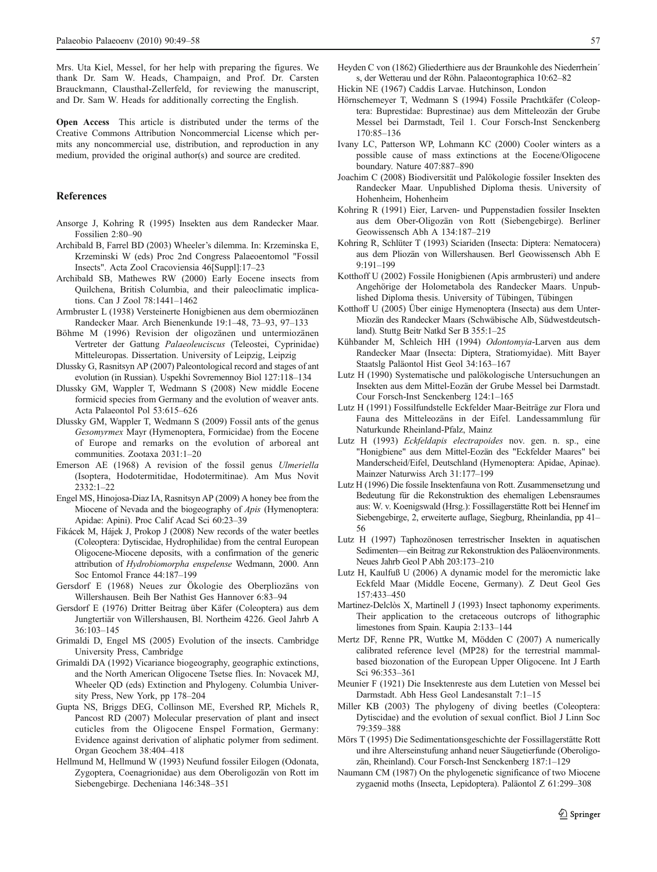<span id="page-8-0"></span>Mrs. Uta Kiel, Messel, for her help with preparing the figures. We thank Dr. Sam W. Heads, Champaign, and Prof. Dr. Carsten Brauckmann, Clausthal-Zellerfeld, for reviewing the manuscript, and Dr. Sam W. Heads for additionally correcting the English.

Open Access This article is distributed under the terms of the Creative Commons Attribution Noncommercial License which permits any noncommercial use, distribution, and reproduction in any medium, provided the original author(s) and source are credited.

#### References

- Ansorge J, Kohring R (1995) Insekten aus dem Randecker Maar. Fossilien 2:80–90
- Archibald B, Farrel BD (2003) Wheeler's dilemma. In: Krzeminska E, Krzeminski W (eds) Proc 2nd Congress Palaeoentomol "Fossil Insects". Acta Zool Cracoviensia 46[Suppl]:17–23
- Archibald SB, Mathewes RW (2000) Early Eocene insects from Quilchena, British Columbia, and their paleoclimatic implications. Can J Zool 78:1441–1462
- Armbruster L (1938) Versteinerte Honigbienen aus dem obermiozänen Randecker Maar. Arch Bienenkunde 19:1–48, 73–93, 97–133
- Böhme M (1996) Revision der oligozänen und untermiozänen Vertreter der Gattung Palaeoleuciscus (Teleostei, Cyprinidae) Mitteleuropas. Dissertation. University of Leipzig, Leipzig
- Dlussky G, Rasnitsyn AP (2007) Paleontological record and stages of ant evolution (in Russian). Uspekhi Sovremennoy Biol 127:118–134
- Dlussky GM, Wappler T, Wedmann S (2008) New middle Eocene formicid species from Germany and the evolution of weaver ants. Acta Palaeontol Pol 53:615–626
- Dlussky GM, Wappler T, Wedmann S (2009) Fossil ants of the genus Gesomyrmex Mayr (Hymenoptera, Formicidae) from the Eocene of Europe and remarks on the evolution of arboreal ant communities. Zootaxa 2031:1–20
- Emerson AE (1968) A revision of the fossil genus Ulmeriella (Isoptera, Hodotermitidae, Hodotermitinae). Am Mus Novit 2332:1–22
- Engel MS, Hinojosa-Diaz IA, Rasnitsyn AP (2009) A honey bee from the Miocene of Nevada and the biogeography of Apis (Hymenoptera: Apidae: Apini). Proc Calif Acad Sci 60:23–39
- Fikácek M, Hájek J, Prokop J (2008) New records of the water beetles (Coleoptera: Dytiscidae, Hydrophilidae) from the central European Oligocene-Miocene deposits, with a confirmation of the generic attribution of Hydrobiomorpha enspelense Wedmann, 2000. Ann Soc Entomol France 44:187–199
- Gersdorf E (1968) Neues zur Ökologie des Oberpliozäns von Willershausen. Beih Ber Nathist Ges Hannover 6:83–94
- Gersdorf E (1976) Dritter Beitrag über Käfer (Coleoptera) aus dem Jungtertiär von Willershausen, Bl. Northeim 4226. Geol Jahrb A 36:103–145
- Grimaldi D, Engel MS (2005) Evolution of the insects. Cambridge University Press, Cambridge
- Grimaldi DA (1992) Vicariance biogeography, geographic extinctions, and the North American Oligocene Tsetse flies. In: Novacek MJ, Wheeler QD (eds) Extinction and Phylogeny. Columbia University Press, New York, pp 178–204
- Gupta NS, Briggs DEG, Collinson ME, Evershed RP, Michels R, Pancost RD (2007) Molecular preservation of plant and insect cuticles from the Oligocene Enspel Formation, Germany: Evidence against derivation of aliphatic polymer from sediment. Organ Geochem 38:404–418
- Hellmund M, Hellmund W (1993) Neufund fossiler Eilogen (Odonata, Zygoptera, Coenagrionidae) aus dem Oberoligozän von Rott im Siebengebirge. Decheniana 146:348–351
- Heyden C von (1862) Gliederthiere aus der Braunkohle des Niederrhein´ s, der Wetterau und der Röhn. Palaeontographica 10:62–82
- Hickin NE (1967) Caddis Larvae. Hutchinson, London
- Hörnschemeyer T, Wedmann S (1994) Fossile Prachtkäfer (Coleoptera: Buprestidae: Buprestinae) aus dem Mitteleozän der Grube Messel bei Darmstadt, Teil 1. Cour Forsch-Inst Senckenberg 170:85–136
- Ivany LC, Patterson WP, Lohmann KC (2000) Cooler winters as a possible cause of mass extinctions at the Eocene/Oligocene boundary. Nature 407:887–890
- Joachim C (2008) Biodiversität und Palökologie fossiler Insekten des Randecker Maar. Unpublished Diploma thesis. University of Hohenheim, Hohenheim
- Kohring R (1991) Eier, Larven- und Puppenstadien fossiler Insekten aus dem Ober-Oligozän von Rott (Siebengebirge). Berliner Geowissensch Abh A 134:187–219
- Kohring R, Schlüter T (1993) Sciariden (Insecta: Diptera: Nematocera) aus dem Pliozän von Willershausen. Berl Geowissensch Abh E 9:191–199
- Kotthoff U (2002) Fossile Honigbienen (Apis armbrusteri) und andere Angehörige der Holometabola des Randecker Maars. Unpublished Diploma thesis. University of Tübingen, Tübingen
- Kotthoff U (2005) Über einige Hymenoptera (Insecta) aus dem Unter-Miozän des Randecker Maars (Schwäbische Alb, Südwestdeutschland). Stuttg Beitr Natkd Ser B 355:1–25
- Kühbander M, Schleich HH (1994) Odontomyia-Larven aus dem Randecker Maar (Insecta: Diptera, Stratiomyidae). Mitt Bayer Staatslg Paläontol Hist Geol 34:163–167
- Lutz H (1990) Systematische und palökologische Untersuchungen an Insekten aus dem Mittel-Eozän der Grube Messel bei Darmstadt. Cour Forsch-Inst Senckenberg 124:1–165
- Lutz H (1991) Fossilfundstelle Eckfelder Maar-Beiträge zur Flora und Fauna des Mitteleozäns in der Eifel. Landessammlung für Naturkunde Rheinland-Pfalz, Mainz
- Lutz H (1993) Eckfeldapis electrapoides nov. gen. n. sp., eine "Honigbiene" aus dem Mittel-Eozän des "Eckfelder Maares" bei Manderscheid/Eifel, Deutschland (Hymenoptera: Apidae, Apinae). Mainzer Naturwiss Arch 31:177–199
- Lutz H (1996) Die fossile Insektenfauna von Rott. Zusammensetzung und Bedeutung für die Rekonstruktion des ehemaligen Lebensraumes aus: W. v. Koenigswald (Hrsg.): Fossillagerstätte Rott bei Hennef im Siebengebirge, 2, erweiterte auflage, Siegburg, Rheinlandia, pp 41– 56
- Lutz H (1997) Taphozönosen terrestrischer Insekten in aquatischen Sedimenten—ein Beitrag zur Rekonstruktion des Paläoenvironments. Neues Jahrb Geol P Abh 203:173–210
- Lutz H, Kaulfuß U (2006) A dynamic model for the meromictic lake Eckfeld Maar (Middle Eocene, Germany). Z Deut Geol Ges 157:433–450
- Martinez-Delclòs X, Martinell J (1993) Insect taphonomy experiments. Their application to the cretaceous outcrops of lithographic limestones from Spain. Kaupia 2:133–144
- Mertz DF, Renne PR, Wuttke M, Mödden C (2007) A numerically calibrated reference level (MP28) for the terrestrial mammalbased biozonation of the European Upper Oligocene. Int J Earth Sci 96:353–361
- Meunier F (1921) Die Insektenreste aus dem Lutetien von Messel bei Darmstadt. Abh Hess Geol Landesanstalt 7:1–15
- Miller KB (2003) The phylogeny of diving beetles (Coleoptera: Dytiscidae) and the evolution of sexual conflict. Biol J Linn Soc 79:359–388
- Mörs T (1995) Die Sedimentationsgeschichte der Fossillagerstätte Rott und ihre Alterseinstufung anhand neuer Säugetierfunde (Oberoligozän, Rheinland). Cour Forsch-Inst Senckenberg 187:1–129
- Naumann CM (1987) On the phylogenetic significance of two Miocene zygaenid moths (Insecta, Lepidoptera). Paläontol Z 61:299–308